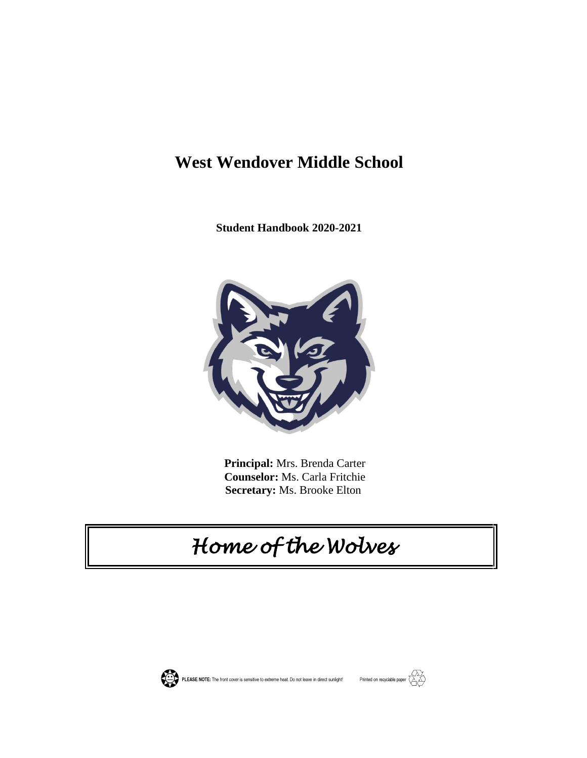## **West Wendover Middle School**

**Student Handbook 2020-2021**



 **Principal:** Mrs. Brenda Carter **Counselor:** Ms. Carla Fritchie **Secretary:** Ms. Brooke Elton

# *Home of the Wolves*



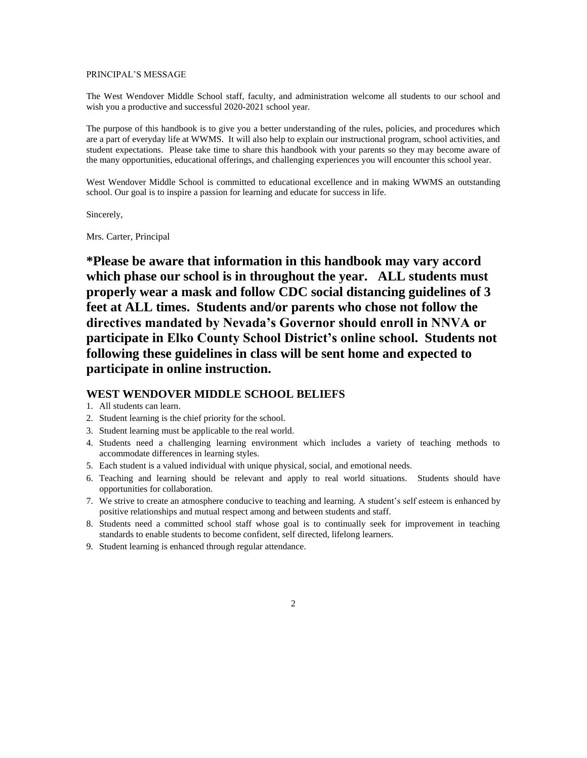#### PRINCIPAL'S MESSAGE

The West Wendover Middle School staff, faculty, and administration welcome all students to our school and wish you a productive and successful 2020-2021 school year.

The purpose of this handbook is to give you a better understanding of the rules, policies, and procedures which are a part of everyday life at WWMS. It will also help to explain our instructional program, school activities, and student expectations. Please take time to share this handbook with your parents so they may become aware of the many opportunities, educational offerings, and challenging experiences you will encounter this school year.

West Wendover Middle School is committed to educational excellence and in making WWMS an outstanding school. Our goal is to inspire a passion for learning and educate for success in life.

Sincerely,

Mrs. Carter, Principal

**\*Please be aware that information in this handbook may vary accord which phase our school is in throughout the year. ALL students must properly wear a mask and follow CDC social distancing guidelines of 3 feet at ALL times. Students and/or parents who chose not follow the directives mandated by Nevada's Governor should enroll in NNVA or participate in Elko County School District's online school. Students not following these guidelines in class will be sent home and expected to participate in online instruction.** 

## **WEST WENDOVER MIDDLE SCHOOL BELIEFS**

- 1. All students can learn.
- 2. Student learning is the chief priority for the school.
- 3. Student learning must be applicable to the real world.
- 4. Students need a challenging learning environment which includes a variety of teaching methods to accommodate differences in learning styles.
- 5. Each student is a valued individual with unique physical, social, and emotional needs.
- 6. Teaching and learning should be relevant and apply to real world situations. Students should have opportunities for collaboration.
- 7. We strive to create an atmosphere conducive to teaching and learning. A student's self esteem is enhanced by positive relationships and mutual respect among and between students and staff.
- 8. Students need a committed school staff whose goal is to continually seek for improvement in teaching standards to enable students to become confident, self directed, lifelong learners.
- 9. Student learning is enhanced through regular attendance.
	- 2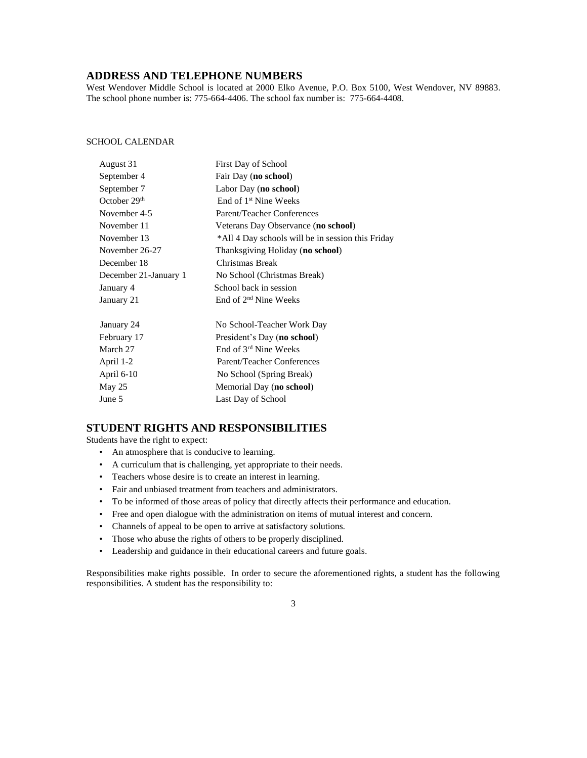## **ADDRESS AND TELEPHONE NUMBERS**

West Wendover Middle School is located at 2000 Elko Avenue, P.O. Box 5100, West Wendover, NV 89883. The school phone number is: 775-664-4406. The school fax number is: 775-664-4408.

#### SCHOOL CALENDAR

| August 31             | First Day of School                               |
|-----------------------|---------------------------------------------------|
| September 4           | Fair Day (no school)                              |
| September 7           | Labor Day (no school)                             |
| October $29th$        | End of 1 <sup>st</sup> Nine Weeks                 |
| November 4-5          | Parent/Teacher Conferences                        |
| November 11           | Veterans Day Observance (no school)               |
| November 13           | *All 4 Day schools will be in session this Friday |
| November 26-27        | Thanksgiving Holiday (no school)                  |
| December 18           | Christmas Break                                   |
| December 21-January 1 | No School (Christmas Break)                       |
| January 4             | School back in session                            |
| January 21            | End of 2 <sup>nd</sup> Nine Weeks                 |
| January 24            | No School-Teacher Work Day                        |
| February 17           | President's Day (no school)                       |
| March 27              | End of 3 <sup>rd</sup> Nine Weeks                 |
| April 1-2             | Parent/Teacher Conferences                        |
| April 6-10            | No School (Spring Break)                          |
| May $25$              | Memorial Day (no school)                          |
| June 5                | Last Day of School                                |

## **STUDENT RIGHTS AND RESPONSIBILITIES**

Students have the right to expect:

- An atmosphere that is conducive to learning.
- A curriculum that is challenging, yet appropriate to their needs.
- Teachers whose desire is to create an interest in learning.
- Fair and unbiased treatment from teachers and administrators.
- To be informed of those areas of policy that directly affects their performance and education.
- Free and open dialogue with the administration on items of mutual interest and concern.
- Channels of appeal to be open to arrive at satisfactory solutions.
- Those who abuse the rights of others to be properly disciplined.
- Leadership and guidance in their educational careers and future goals.

Responsibilities make rights possible. In order to secure the aforementioned rights, a student has the following responsibilities. A student has the responsibility to:

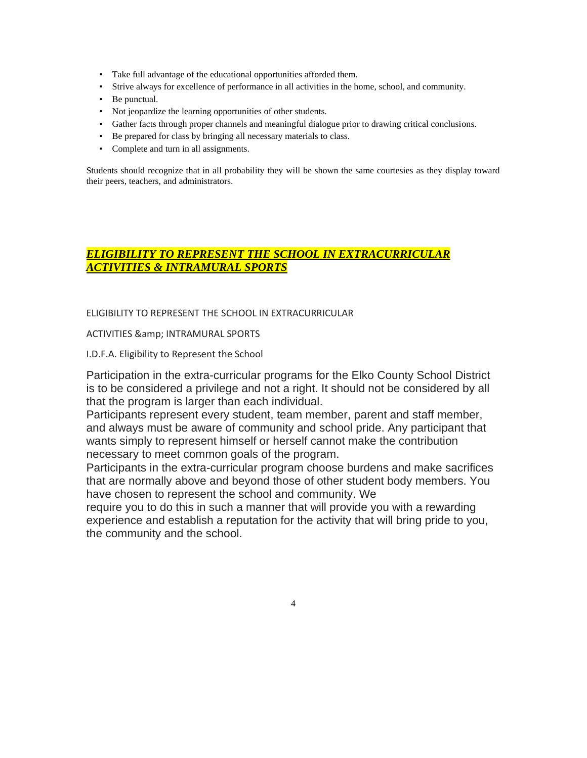- Take full advantage of the educational opportunities afforded them.
- Strive always for excellence of performance in all activities in the home, school, and community.
- Be punctual.
- Not jeopardize the learning opportunities of other students.
- Gather facts through proper channels and meaningful dialogue prior to drawing critical conclusions.
- Be prepared for class by bringing all necessary materials to class.
- Complete and turn in all assignments.

Students should recognize that in all probability they will be shown the same courtesies as they display toward their peers, teachers, and administrators.

## *ELIGIBILITY TO REPRESENT THE SCHOOL IN EXTRACURRICULAR ACTIVITIES & INTRAMURAL SPORTS*

## ELIGIBILITY TO REPRESENT THE SCHOOL IN EXTRACURRICULAR

#### ACTIVITIES & amp; INTRAMURAL SPORTS

I.D.F.A. Eligibility to Represent the School

Participation in the extra-curricular programs for the Elko County School District is to be considered a privilege and not a right. It should not be considered by all that the program is larger than each individual.

Participants represent every student, team member, parent and staff member, and always must be aware of community and school pride. Any participant that wants simply to represent himself or herself cannot make the contribution necessary to meet common goals of the program.

Participants in the extra-curricular program choose burdens and make sacrifices that are normally above and beyond those of other student body members. You have chosen to represent the school and community. We

require you to do this in such a manner that will provide you with a rewarding experience and establish a reputation for the activity that will bring pride to you, the community and the school.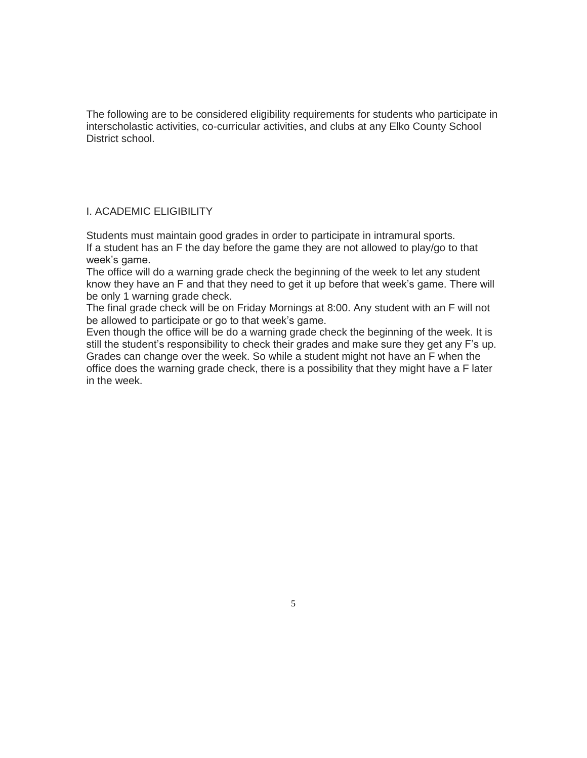The following are to be considered eligibility requirements for students who participate in interscholastic activities, co-curricular activities, and clubs at any Elko County School District school.

## I. ACADEMIC ELIGIBILITY

Students must maintain good grades in order to participate in intramural sports. If a student has an F the day before the game they are not allowed to play/go to that week's game.

The office will do a warning grade check the beginning of the week to let any student know they have an F and that they need to get it up before that week's game. There will be only 1 warning grade check.

The final grade check will be on Friday Mornings at 8:00. Any student with an F will not be allowed to participate or go to that week's game.

Even though the office will be do a warning grade check the beginning of the week. It is still the student's responsibility to check their grades and make sure they get any F's up. Grades can change over the week. So while a student might not have an F when the office does the warning grade check, there is a possibility that they might have a F later in the week.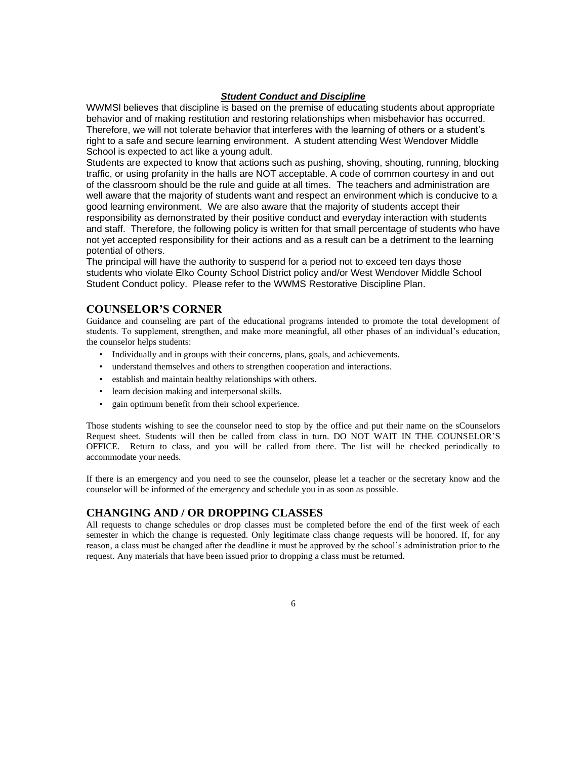#### *Student Conduct and Discipline*

WWMSl believes that discipline is based on the premise of educating students about appropriate behavior and of making restitution and restoring relationships when misbehavior has occurred. Therefore, we will not tolerate behavior that interferes with the learning of others or a student's right to a safe and secure learning environment. A student attending West Wendover Middle School is expected to act like a young adult.

Students are expected to know that actions such as pushing, shoving, shouting, running, blocking traffic, or using profanity in the halls are NOT acceptable. A code of common courtesy in and out of the classroom should be the rule and guide at all times. The teachers and administration are well aware that the majority of students want and respect an environment which is conducive to a good learning environment. We are also aware that the majority of students accept their responsibility as demonstrated by their positive conduct and everyday interaction with students and staff. Therefore, the following policy is written for that small percentage of students who have not yet accepted responsibility for their actions and as a result can be a detriment to the learning potential of others.

The principal will have the authority to suspend for a period not to exceed ten days those students who violate Elko County School District policy and/or West Wendover Middle School Student Conduct policy. Please refer to the WWMS Restorative Discipline Plan.

## **COUNSELOR'S CORNER**

Guidance and counseling are part of the educational programs intended to promote the total development of students. To supplement, strengthen, and make more meaningful, all other phases of an individual's education, the counselor helps students:

- Individually and in groups with their concerns, plans, goals, and achievements.
- understand themselves and others to strengthen cooperation and interactions.
- establish and maintain healthy relationships with others.
- learn decision making and interpersonal skills.
- gain optimum benefit from their school experience.

Those students wishing to see the counselor need to stop by the office and put their name on the sCounselors Request sheet. Students will then be called from class in turn. DO NOT WAIT IN THE COUNSELOR'S OFFICE. Return to class, and you will be called from there. The list will be checked periodically to accommodate your needs.

If there is an emergency and you need to see the counselor, please let a teacher or the secretary know and the counselor will be informed of the emergency and schedule you in as soon as possible.

## **CHANGING AND / OR DROPPING CLASSES**

All requests to change schedules or drop classes must be completed before the end of the first week of each semester in which the change is requested. Only legitimate class change requests will be honored. If, for any reason, a class must be changed after the deadline it must be approved by the school's administration prior to the request. Any materials that have been issued prior to dropping a class must be returned.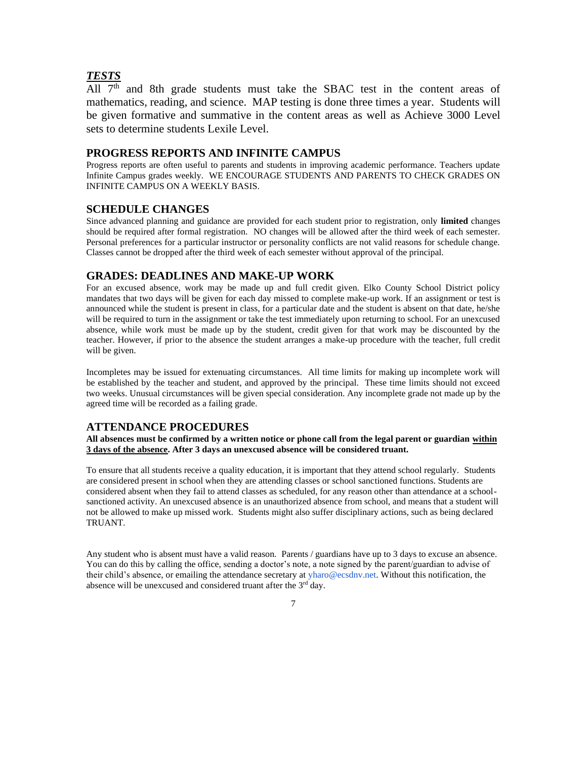## *TESTS*

All  $7<sup>th</sup>$  and 8th grade students must take the SBAC test in the content areas of mathematics, reading, and science. MAP testing is done three times a year. Students will be given formative and summative in the content areas as well as Achieve 3000 Level sets to determine students Lexile Level.

## **PROGRESS REPORTS AND INFINITE CAMPUS**

Progress reports are often useful to parents and students in improving academic performance. Teachers update Infinite Campus grades weekly. WE ENCOURAGE STUDENTS AND PARENTS TO CHECK GRADES ON INFINITE CAMPUS ON A WEEKLY BASIS.

#### **SCHEDULE CHANGES**

Since advanced planning and guidance are provided for each student prior to registration, only **limited** changes should be required after formal registration. NO changes will be allowed after the third week of each semester. Personal preferences for a particular instructor or personality conflicts are not valid reasons for schedule change. Classes cannot be dropped after the third week of each semester without approval of the principal.

#### **GRADES: DEADLINES AND MAKE-UP WORK**

For an excused absence, work may be made up and full credit given. Elko County School District policy mandates that two days will be given for each day missed to complete make-up work. If an assignment or test is announced while the student is present in class, for a particular date and the student is absent on that date, he/she will be required to turn in the assignment or take the test immediately upon returning to school. For an unexcused absence, while work must be made up by the student, credit given for that work may be discounted by the teacher. However, if prior to the absence the student arranges a make-up procedure with the teacher, full credit will be given.

Incompletes may be issued for extenuating circumstances. All time limits for making up incomplete work will be established by the teacher and student, and approved by the principal. These time limits should not exceed two weeks. Unusual circumstances will be given special consideration. Any incomplete grade not made up by the agreed time will be recorded as a failing grade.

## **ATTENDANCE PROCEDURES**

**All absences must be confirmed by a written notice or phone call from the legal parent or guardian within 3 days of the absence. After 3 days an unexcused absence will be considered truant.**

To ensure that all students receive a quality education, it is important that they attend school regularly. Students are considered present in school when they are attending classes or school sanctioned functions. Students are considered absent when they fail to attend classes as scheduled, for any reason other than attendance at a schoolsanctioned activity. An unexcused absence is an unauthorized absence from school, and means that a student will not be allowed to make up missed work. Students might also suffer disciplinary actions, such as being declared TRUANT.

Any student who is absent must have a valid reason. Parents / guardians have up to 3 days to excuse an absence. You can do this by calling the office, sending a doctor's note, a note signed by the parent/guardian to advise of their child's absence, or emailing the attendance secretary at yharo@ecsdnv.net. Without this notification, the absence will be unexcused and considered truant after the 3<sup>rd</sup> day.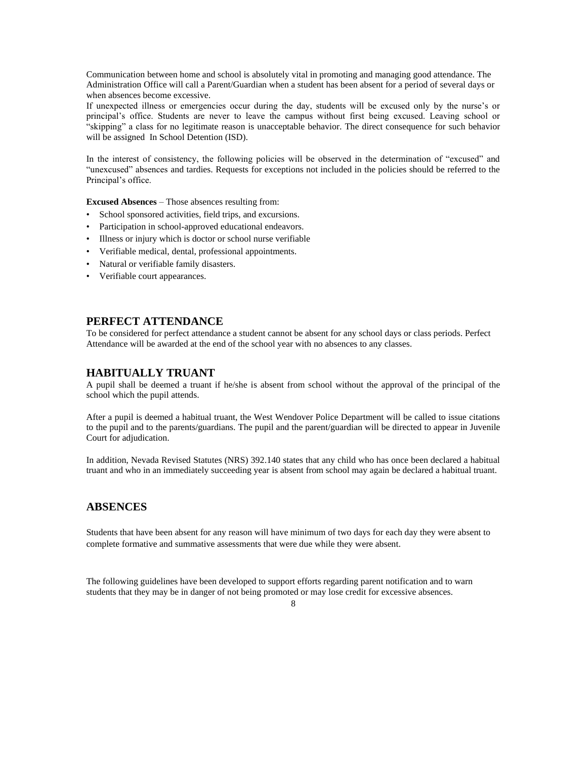Communication between home and school is absolutely vital in promoting and managing good attendance. The Administration Office will call a Parent/Guardian when a student has been absent for a period of several days or when absences become excessive.

If unexpected illness or emergencies occur during the day, students will be excused only by the nurse's or principal's office. Students are never to leave the campus without first being excused. Leaving school or "skipping" a class for no legitimate reason is unacceptable behavior. The direct consequence for such behavior will be assigned In School Detention (ISD).

In the interest of consistency, the following policies will be observed in the determination of "excused" and "unexcused" absences and tardies. Requests for exceptions not included in the policies should be referred to the Principal's office.

**Excused Absences** – Those absences resulting from:

- School sponsored activities, field trips, and excursions.
- Participation in school-approved educational endeavors.
- Illness or injury which is doctor or school nurse verifiable
- Verifiable medical, dental, professional appointments.
- Natural or verifiable family disasters.
- Verifiable court appearances.

#### **PERFECT ATTENDANCE**

To be considered for perfect attendance a student cannot be absent for any school days or class periods. Perfect Attendance will be awarded at the end of the school year with no absences to any classes.

#### **HABITUALLY TRUANT**

A pupil shall be deemed a truant if he/she is absent from school without the approval of the principal of the school which the pupil attends.

After a pupil is deemed a habitual truant, the West Wendover Police Department will be called to issue citations to the pupil and to the parents/guardians. The pupil and the parent/guardian will be directed to appear in Juvenile Court for adjudication.

In addition, Nevada Revised Statutes (NRS) 392.140 states that any child who has once been declared a habitual truant and who in an immediately succeeding year is absent from school may again be declared a habitual truant.

## **ABSENCES**

Students that have been absent for any reason will have minimum of two days for each day they were absent to complete formative and summative assessments that were due while they were absent.

The following guidelines have been developed to support efforts regarding parent notification and to warn students that they may be in danger of not being promoted or may lose credit for excessive absences.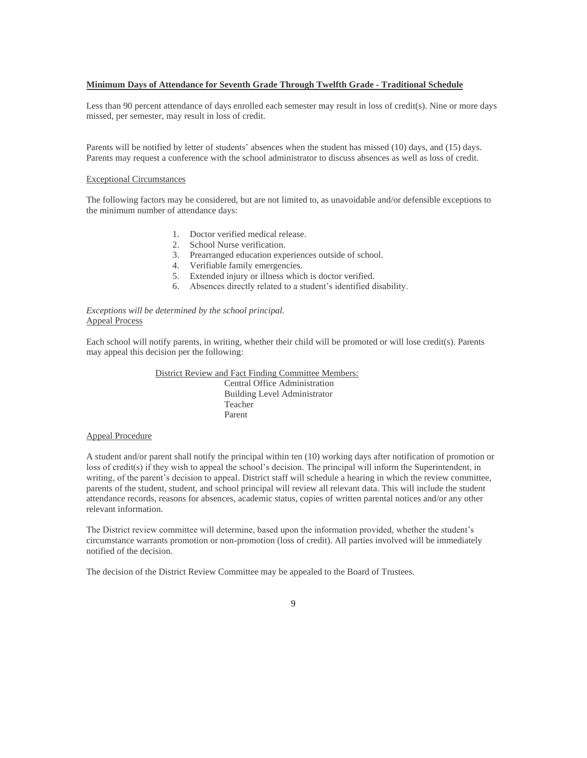#### **Minimum Days of Attendance for Seventh Grade Through Twelfth Grade - Traditional Schedule**

Less than 90 percent attendance of days enrolled each semester may result in loss of credit(s). Nine or more days missed, per semester, may result in loss of credit.

Parents will be notified by letter of students' absences when the student has missed (10) days, and (15) days. Parents may request a conference with the school administrator to discuss absences as well as loss of credit.

#### Exceptional Circumstances

The following factors may be considered, but are not limited to, as unavoidable and/or defensible exceptions to the minimum number of attendance days:

- 1. Doctor verified medical release.
- 2. School Nurse verification.
- 3. Prearranged education experiences outside of school.
- 4. Verifiable family emergencies.
- 5. Extended injury or illness which is doctor verified.
- 6. Absences directly related to a student's identified disability.

#### *Exceptions will be determined by the school principal.* Appeal Process

Each school will notify parents, in writing, whether their child will be promoted or will lose credit(s). Parents may appeal this decision per the following:

> District Review and Fact Finding Committee Members: Central Office Administration Building Level Administrator Teacher Parent

#### Appeal Procedure

A student and/or parent shall notify the principal within ten (10) working days after notification of promotion or loss of credit(s) if they wish to appeal the school's decision. The principal will inform the Superintendent, in writing, of the parent's decision to appeal. District staff will schedule a hearing in which the review committee, parents of the student, student, and school principal will review all relevant data. This will include the student attendance records, reasons for absences, academic status, copies of written parental notices and/or any other relevant information.

The District review committee will determine, based upon the information provided, whether the student's circumstance warrants promotion or non-promotion (loss of credit). All parties involved will be immediately notified of the decision.

The decision of the District Review Committee may be appealed to the Board of Trustees.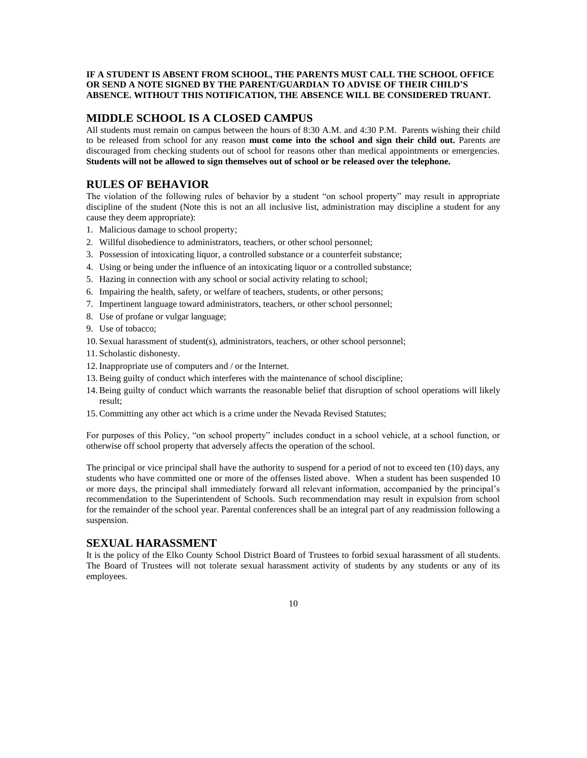#### **IF A STUDENT IS ABSENT FROM SCHOOL, THE PARENTS MUST CALL THE SCHOOL OFFICE OR SEND A NOTE SIGNED BY THE PARENT/GUARDIAN TO ADVISE OF THEIR CHILD'S ABSENCE. WITHOUT THIS NOTIFICATION, THE ABSENCE WILL BE CONSIDERED TRUANT.**

## **MIDDLE SCHOOL IS A CLOSED CAMPUS**

All students must remain on campus between the hours of 8:30 A.M. and 4:30 P.M. Parents wishing their child to be released from school for any reason **must come into the school and sign their child out.** Parents are discouraged from checking students out of school for reasons other than medical appointments or emergencies. **Students will not be allowed to sign themselves out of school or be released over the telephone.**

## **RULES OF BEHAVIOR**

The violation of the following rules of behavior by a student "on school property" may result in appropriate discipline of the student (Note this is not an all inclusive list, administration may discipline a student for any cause they deem appropriate):

- 1. Malicious damage to school property;
- 2. Willful disobedience to administrators, teachers, or other school personnel;
- 3. Possession of intoxicating liquor, a controlled substance or a counterfeit substance;
- 4. Using or being under the influence of an intoxicating liquor or a controlled substance;
- 5. Hazing in connection with any school or social activity relating to school;
- 6. Impairing the health, safety, or welfare of teachers, students, or other persons;
- 7. Impertinent language toward administrators, teachers, or other school personnel;
- 8. Use of profane or vulgar language;
- 9. Use of tobacco;
- 10. Sexual harassment of student(s), administrators, teachers, or other school personnel;
- 11. Scholastic dishonesty.
- 12. Inappropriate use of computers and / or the Internet.
- 13. Being guilty of conduct which interferes with the maintenance of school discipline;
- 14. Being guilty of conduct which warrants the reasonable belief that disruption of school operations will likely result;
- 15. Committing any other act which is a crime under the Nevada Revised Statutes;

For purposes of this Policy, "on school property" includes conduct in a school vehicle, at a school function, or otherwise off school property that adversely affects the operation of the school.

The principal or vice principal shall have the authority to suspend for a period of not to exceed ten (10) days, any students who have committed one or more of the offenses listed above. When a student has been suspended 10 or more days, the principal shall immediately forward all relevant information, accompanied by the principal's recommendation to the Superintendent of Schools. Such recommendation may result in expulsion from school for the remainder of the school year. Parental conferences shall be an integral part of any readmission following a suspension.

## **SEXUAL HARASSMENT**

It is the policy of the Elko County School District Board of Trustees to forbid sexual harassment of all students. The Board of Trustees will not tolerate sexual harassment activity of students by any students or any of its employees.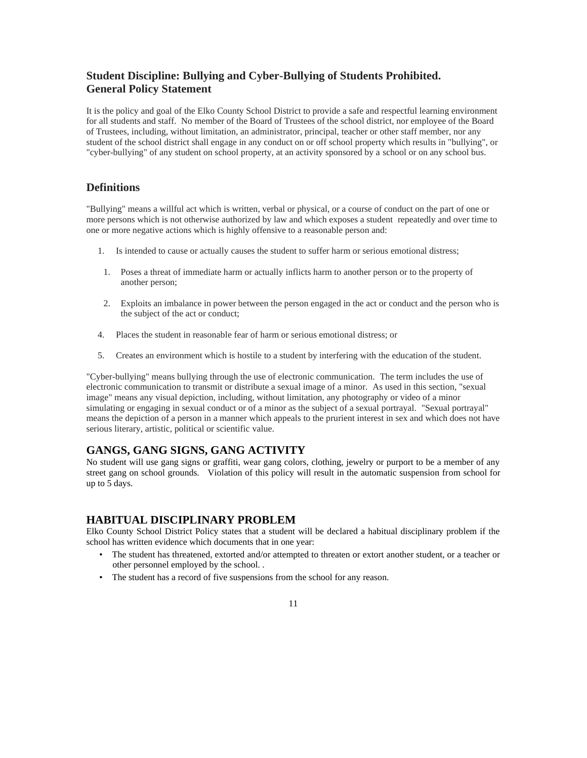## **Student Discipline: Bullying and Cyber-Bullying of Students Prohibited. General Policy Statement**

It is the policy and goal of the Elko County School District to provide a safe and respectful learning environment for all students and staff. No member of the Board of Trustees of the school district, nor employee of the Board of Trustees, including, without limitation, an administrator, principal, teacher or other staff member, nor any student of the school district shall engage in any conduct on or off school property which results in "bullying", or "cyber-bullying" of any student on school property, at an activity sponsored by a school or on any school bus.

## **Definitions**

"Bullying" means a willful act which is written, verbal or physical, or a course of conduct on the part of one or more persons which is not otherwise authorized by law and which exposes a student repeatedly and over time to one or more negative actions which is highly offensive to a reasonable person and:

- 1. Is intended to cause or actually causes the student to suffer harm or serious emotional distress;
- 1. Poses a threat of immediate harm or actually inflicts harm to another person or to the property of another person;
- 2. Exploits an imbalance in power between the person engaged in the act or conduct and the person who is the subject of the act or conduct;
- 4. Places the student in reasonable fear of harm or serious emotional distress; or
- 5. Creates an environment which is hostile to a student by interfering with the education of the student.

"Cyber-bullying" means bullying through the use of electronic communication. The term includes the use of electronic communication to transmit or distribute a sexual image of a minor. As used in this section, "sexual image" means any visual depiction, including, without limitation, any photography or video of a minor simulating or engaging in sexual conduct or of a minor as the subject of a sexual portrayal. "Sexual portrayal" means the depiction of a person in a manner which appeals to the prurient interest in sex and which does not have serious literary, artistic, political or scientific value.

## **GANGS, GANG SIGNS, GANG ACTIVITY**

No student will use gang signs or graffiti, wear gang colors, clothing, jewelry or purport to be a member of any street gang on school grounds. Violation of this policy will result in the automatic suspension from school for up to 5 days.

## **HABITUAL DISCIPLINARY PROBLEM**

Elko County School District Policy states that a student will be declared a habitual disciplinary problem if the school has written evidence which documents that in one year:

- The student has threatened, extorted and/or attempted to threaten or extort another student, or a teacher or other personnel employed by the school. .
- The student has a record of five suspensions from the school for any reason.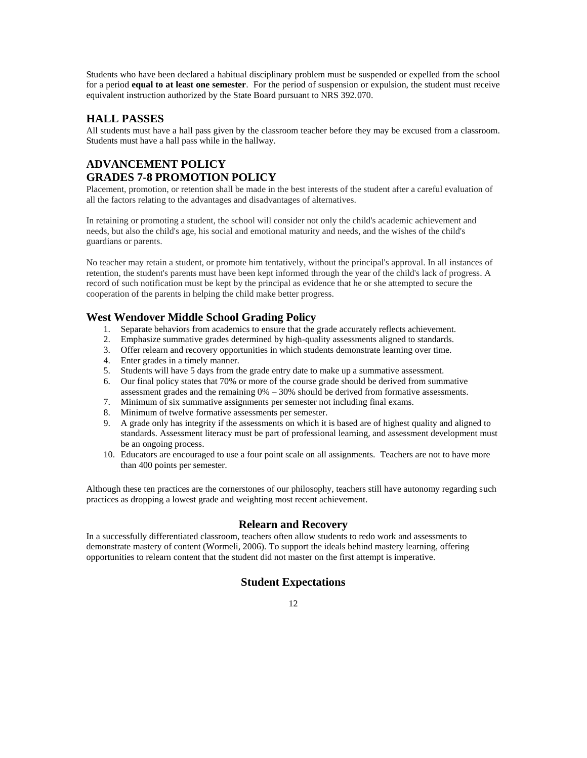Students who have been declared a habitual disciplinary problem must be suspended or expelled from the school for a period **equal to at least one semester**. For the period of suspension or expulsion, the student must receive equivalent instruction authorized by the State Board pursuant to NRS 392.070.

## **HALL PASSES**

All students must have a hall pass given by the classroom teacher before they may be excused from a classroom. Students must have a hall pass while in the hallway.

## **ADVANCEMENT POLICY GRADES 7-8 PROMOTION POLICY**

Placement, promotion, or retention shall be made in the best interests of the student after a careful evaluation of all the factors relating to the advantages and disadvantages of alternatives.

In retaining or promoting a student, the school will consider not only the child's academic achievement and needs, but also the child's age, his social and emotional maturity and needs, and the wishes of the child's guardians or parents.

No teacher may retain a student, or promote him tentatively, without the principal's approval. In all instances of retention, the student's parents must have been kept informed through the year of the child's lack of progress. A record of such notification must be kept by the principal as evidence that he or she attempted to secure the cooperation of the parents in helping the child make better progress.

## **West Wendover Middle School Grading Policy**

- 1. Separate behaviors from academics to ensure that the grade accurately reflects achievement.
- 2. Emphasize summative grades determined by high-quality assessments aligned to standards.
- 3. Offer relearn and recovery opportunities in which students demonstrate learning over time.
- 4. Enter grades in a timely manner.
- 5. Students will have 5 days from the grade entry date to make up a summative assessment.
- 6. Our final policy states that 70% or more of the course grade should be derived from summative assessment grades and the remaining  $0\% - 30\%$  should be derived from formative assessments.
- 7. Minimum of six summative assignments per semester not including final exams.
- 8. Minimum of twelve formative assessments per semester.
- 9. A grade only has integrity if the assessments on which it is based are of highest quality and aligned to standards. Assessment literacy must be part of professional learning, and assessment development must be an ongoing process.
- 10. Educators are encouraged to use a four point scale on all assignments. Teachers are not to have more than 400 points per semester.

Although these ten practices are the cornerstones of our philosophy, teachers still have autonomy regarding such practices as dropping a lowest grade and weighting most recent achievement.

## **Relearn and Recovery**

In a successfully differentiated classroom, teachers often allow students to redo work and assessments to demonstrate mastery of content (Wormeli, 2006). To support the ideals behind mastery learning, offering opportunities to relearn content that the student did not master on the first attempt is imperative.

## **Student Expectations**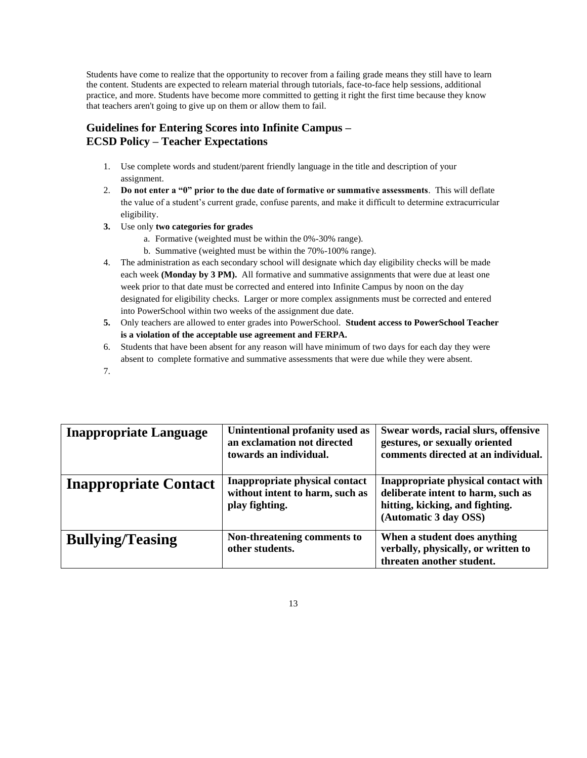Students have come to realize that the opportunity to recover from a failing grade means they still have to learn the content. Students are expected to relearn material through tutorials, face-to-face help sessions, additional practice, and more. Students have become more committed to getting it right the first time because they know that teachers aren't going to give up on them or allow them to fail.

## **Guidelines for Entering Scores into Infinite Campus – ECSD Policy – Teacher Expectations**

- 1. Use complete words and student/parent friendly language in the title and description of your assignment.
- 2. **Do not enter a "0" prior to the due date of formative or summative assessments**. This will deflate the value of a student's current grade, confuse parents, and make it difficult to determine extracurricular eligibility.
- **3.** Use only **two categories for grades**
	- a. Formative (weighted must be within the 0%-30% range).
	- b. Summative (weighted must be within the 70%-100% range).
- 4. The administration as each secondary school will designate which day eligibility checks will be made each week **(Monday by 3 PM).** All formative and summative assignments that were due at least one week prior to that date must be corrected and entered into Infinite Campus by noon on the day designated for eligibility checks. Larger or more complex assignments must be corrected and entered into PowerSchool within two weeks of the assignment due date.
- **5.** Only teachers are allowed to enter grades into PowerSchool. **Student access to PowerSchool Teacher is a violation of the acceptable use agreement and FERPA.**
- 6. Students that have been absent for any reason will have minimum of two days for each day they were absent to complete formative and summative assessments that were due while they were absent.
- 7.

| <b>Inappropriate Language</b> | Unintentional profanity used as<br>an exclamation not directed<br>towards an individual. | Swear words, racial slurs, offensive<br>gestures, or sexually oriented<br>comments directed at an individual.                         |
|-------------------------------|------------------------------------------------------------------------------------------|---------------------------------------------------------------------------------------------------------------------------------------|
| <b>Inappropriate Contact</b>  | Inappropriate physical contact<br>without intent to harm, such as<br>play fighting.      | Inappropriate physical contact with<br>deliberate intent to harm, such as<br>hitting, kicking, and fighting.<br>(Automatic 3 day OSS) |
| <b>Bullying/Teasing</b>       | Non-threatening comments to<br>other students.                                           | When a student does anything<br>verbally, physically, or written to<br>threaten another student.                                      |